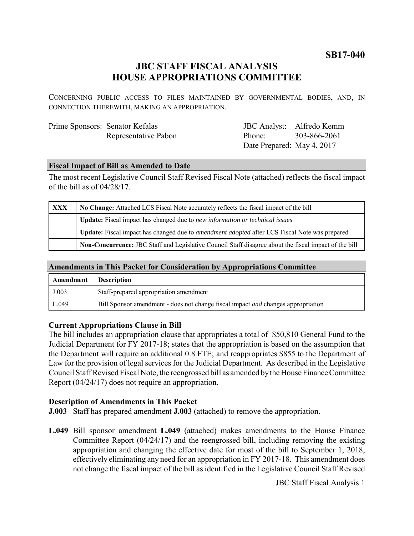**SB17-040**

# **JBC STAFF FISCAL ANALYSIS HOUSE APPROPRIATIONS COMMITTEE**

CONCERNING PUBLIC ACCESS TO FILES MAINTAINED BY GOVERNMENTAL BODIES, AND, IN CONNECTION THEREWITH, MAKING AN APPROPRIATION.

| Prime Sponsors: Senator Kefalas |                      |
|---------------------------------|----------------------|
|                                 | Representative Pabon |

JBC Analyst: Alfredo Kemm Phone: Date Prepared: May 4, 2017 303-866-2061

#### **Fiscal Impact of Bill as Amended to Date**

The most recent Legislative Council Staff Revised Fiscal Note (attached) reflects the fiscal impact of the bill as of 04/28/17.

| XXX | No Change: Attached LCS Fiscal Note accurately reflects the fiscal impact of the bill                 |  |
|-----|-------------------------------------------------------------------------------------------------------|--|
|     | <b>Update:</b> Fiscal impact has changed due to new information or technical issues                   |  |
|     | Update: Fiscal impact has changed due to <i>amendment adopted</i> after LCS Fiscal Note was prepared  |  |
|     | Non-Concurrence: JBC Staff and Legislative Council Staff disagree about the fiscal impact of the bill |  |

#### **Amendments in This Packet for Consideration by Appropriations Committee**

| Amendment | <b>Description</b>                                                                      |
|-----------|-----------------------------------------------------------------------------------------|
| J.003     | Staff-prepared appropriation amendment                                                  |
| L.049     | Bill Sponsor amendment - does not change fiscal impact <i>and</i> changes appropriation |

#### **Current Appropriations Clause in Bill**

The bill includes an appropriation clause that appropriates a total of \$50,810 General Fund to the Judicial Department for FY 2017-18; states that the appropriation is based on the assumption that the Department will require an additional 0.8 FTE; and reappropriates \$855 to the Department of Law for the provision of legal services for the Judicial Department. As described in the Legislative Council Staff Revised Fiscal Note, the reengrossed bill as amended by the House Finance Committee Report (04/24/17) does not require an appropriation.

#### **Description of Amendments in This Packet**

**J.003** Staff has prepared amendment **J.003** (attached) to remove the appropriation.

**L.049** Bill sponsor amendment **L.049** (attached) makes amendments to the House Finance Committee Report (04/24/17) and the reengrossed bill, including removing the existing appropriation and changing the effective date for most of the bill to September 1, 2018, effectively eliminating any need for an appropriation in FY 2017-18. This amendment does not change the fiscal impact of the bill as identified in the Legislative Council Staff Revised